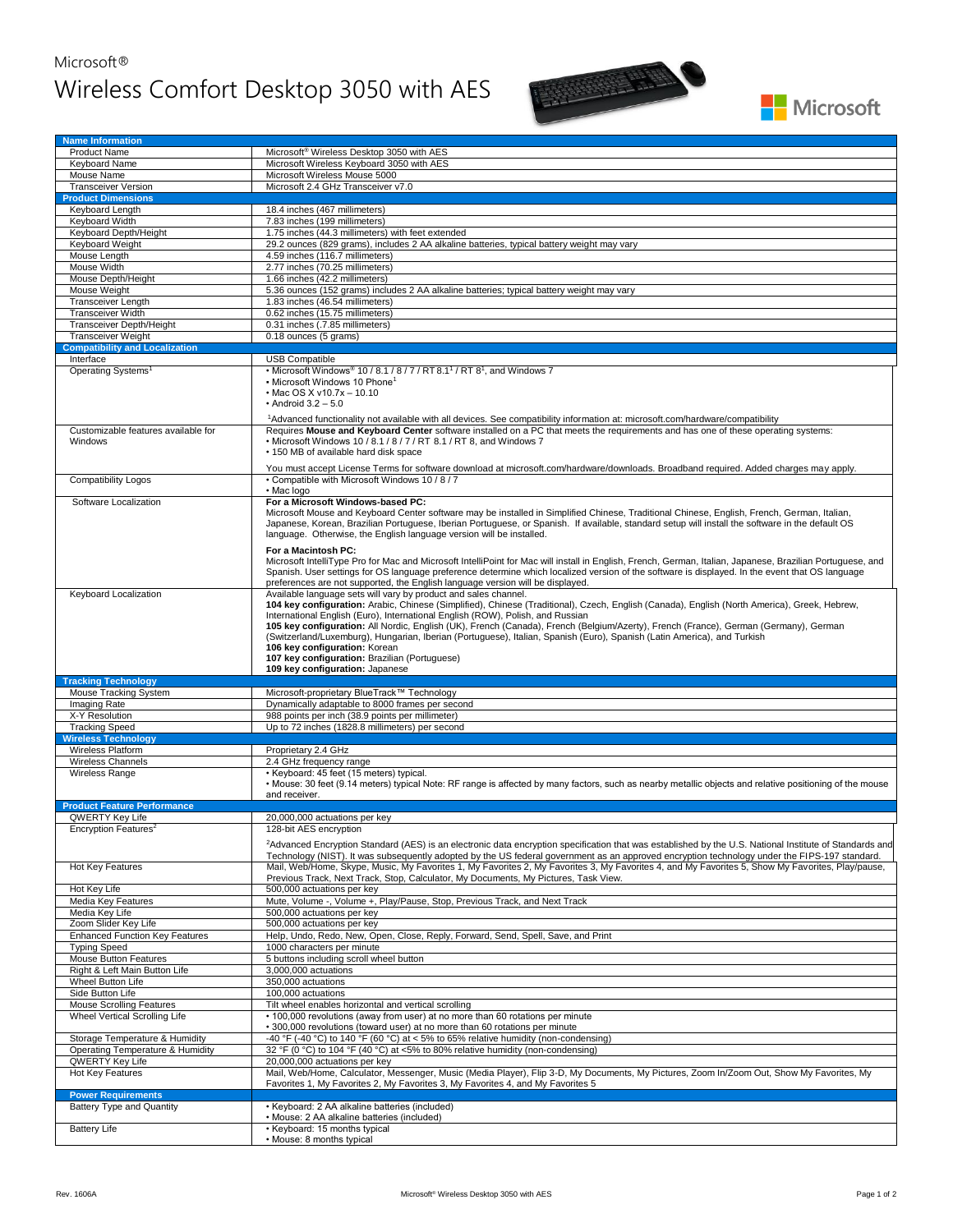## Microsoft® Wireless Comfort Desktop 3050 with AES



| <b>Product Name</b>                            | Microsoft <sup>®</sup> Wireless Desktop 3050 with AES                                                                                                                                                                                                                                                                                                                                                                                                                                                                                                                                                                                                                                                                                                                                                                                      |  |
|------------------------------------------------|--------------------------------------------------------------------------------------------------------------------------------------------------------------------------------------------------------------------------------------------------------------------------------------------------------------------------------------------------------------------------------------------------------------------------------------------------------------------------------------------------------------------------------------------------------------------------------------------------------------------------------------------------------------------------------------------------------------------------------------------------------------------------------------------------------------------------------------------|--|
| Keyboard Name                                  | Microsoft Wireless Keyboard 3050 with AES                                                                                                                                                                                                                                                                                                                                                                                                                                                                                                                                                                                                                                                                                                                                                                                                  |  |
| Mouse Name                                     | Microsoft Wireless Mouse 5000                                                                                                                                                                                                                                                                                                                                                                                                                                                                                                                                                                                                                                                                                                                                                                                                              |  |
| <b>Transceiver Version</b>                     | Microsoft 2.4 GHz Transceiver v7.0                                                                                                                                                                                                                                                                                                                                                                                                                                                                                                                                                                                                                                                                                                                                                                                                         |  |
| <b>Product Dimensions</b>                      |                                                                                                                                                                                                                                                                                                                                                                                                                                                                                                                                                                                                                                                                                                                                                                                                                                            |  |
|                                                |                                                                                                                                                                                                                                                                                                                                                                                                                                                                                                                                                                                                                                                                                                                                                                                                                                            |  |
| Keyboard Length                                | 18.4 inches (467 millimeters)                                                                                                                                                                                                                                                                                                                                                                                                                                                                                                                                                                                                                                                                                                                                                                                                              |  |
| Keyboard Width                                 | 7.83 inches (199 millimeters)                                                                                                                                                                                                                                                                                                                                                                                                                                                                                                                                                                                                                                                                                                                                                                                                              |  |
| Keyboard Depth/Height                          | 1.75 inches (44.3 millimeters) with feet extended                                                                                                                                                                                                                                                                                                                                                                                                                                                                                                                                                                                                                                                                                                                                                                                          |  |
| Keyboard Weight                                | 29.2 ounces (829 grams), includes 2 AA alkaline batteries, typical battery weight may vary                                                                                                                                                                                                                                                                                                                                                                                                                                                                                                                                                                                                                                                                                                                                                 |  |
| Mouse Length                                   | 4.59 inches (116.7 millimeters)                                                                                                                                                                                                                                                                                                                                                                                                                                                                                                                                                                                                                                                                                                                                                                                                            |  |
| Mouse Width                                    | 2.77 inches (70.25 millimeters)                                                                                                                                                                                                                                                                                                                                                                                                                                                                                                                                                                                                                                                                                                                                                                                                            |  |
| Mouse Depth/Height                             | 1.66 inches (42.2 millimeters)                                                                                                                                                                                                                                                                                                                                                                                                                                                                                                                                                                                                                                                                                                                                                                                                             |  |
| Mouse Weight                                   | 5.36 ounces (152 grams) includes 2 AA alkaline batteries; typical battery weight may vary                                                                                                                                                                                                                                                                                                                                                                                                                                                                                                                                                                                                                                                                                                                                                  |  |
| Transceiver Length                             |                                                                                                                                                                                                                                                                                                                                                                                                                                                                                                                                                                                                                                                                                                                                                                                                                                            |  |
|                                                | 1.83 inches (46.54 millimeters)                                                                                                                                                                                                                                                                                                                                                                                                                                                                                                                                                                                                                                                                                                                                                                                                            |  |
| Transceiver Width                              | 0.62 inches (15.75 millimeters)                                                                                                                                                                                                                                                                                                                                                                                                                                                                                                                                                                                                                                                                                                                                                                                                            |  |
| Transceiver Depth/Height                       | 0.31 inches (.7.85 millimeters)                                                                                                                                                                                                                                                                                                                                                                                                                                                                                                                                                                                                                                                                                                                                                                                                            |  |
| <b>Transceiver Weight</b>                      | 0.18 ounces (5 grams)                                                                                                                                                                                                                                                                                                                                                                                                                                                                                                                                                                                                                                                                                                                                                                                                                      |  |
| <b>Compatibility and Localization</b>          |                                                                                                                                                                                                                                                                                                                                                                                                                                                                                                                                                                                                                                                                                                                                                                                                                                            |  |
| Interface                                      | <b>USB Compatible</b>                                                                                                                                                                                                                                                                                                                                                                                                                                                                                                                                                                                                                                                                                                                                                                                                                      |  |
| Operating Systems <sup>1</sup>                 | • Microsoft Windows <sup>®</sup> 10 / 8.1 / 8 / 7 / RT 8.1 <sup>1</sup> / RT 8 <sup>1</sup> , and Windows 7<br>- Microsoft Windows 10 Phone <sup>1</sup><br>• Mac OS X v10.7x - 10.10<br>$\cdot$ Android 3.2 - 5.0                                                                                                                                                                                                                                                                                                                                                                                                                                                                                                                                                                                                                         |  |
| Customizable features available for<br>Windows | <sup>1</sup> Advanced functionality not available with all devices. See compatibility information at: microsoft.com/hardware/compatibility<br>Requires Mouse and Keyboard Center software installed on a PC that meets the requirements and has one of these operating systems:<br>• Microsoft Windows 10 / 8.1 / 8 / 7 / RT 8.1 / RT 8. and Windows 7<br>• 150 MB of available hard disk space                                                                                                                                                                                                                                                                                                                                                                                                                                            |  |
| <b>Compatibility Logos</b>                     | You must accept License Terms for software download at microsoft.com/hardware/downloads. Broadband required. Added charges may apply.<br>• Compatible with Microsoft Windows 10 / 8 / 7                                                                                                                                                                                                                                                                                                                                                                                                                                                                                                                                                                                                                                                    |  |
| Software Localization                          | • Mac logo<br>For a Microsoft Windows-based PC:                                                                                                                                                                                                                                                                                                                                                                                                                                                                                                                                                                                                                                                                                                                                                                                            |  |
|                                                | Microsoft Mouse and Keyboard Center software may be installed in Simplified Chinese, Traditional Chinese, English, French, German, Italian,<br>Japanese, Korean, Brazilian Portuguese, Iberian Portuguese, or Spanish. If available, standard setup will install the software in the default OS<br>language. Otherwise, the English language version will be installed.<br>For a Macintosh PC:<br>Microsoft IntelliType Pro for Mac and Microsoft IntelliPoint for Mac will install in English, French, German, Italian, Japanese, Brazilian Portuguese, and                                                                                                                                                                                                                                                                               |  |
| Keyboard Localization                          | Spanish. User settings for OS language preference determine which localized version of the software is displayed. In the event that OS language<br>preferences are not supported, the English language version will be displayed.<br>Available language sets will vary by product and sales channel.<br>104 key configuration: Arabic, Chinese (Simplified), Chinese (Traditional), Czech, English (Canada), English (North America), Greek, Hebrew,<br>International English (Euro), International English (ROW), Polish, and Russian<br>105 key configuration: All Nordic, English (UK), French (Canada), French (Belgium/Azerty), French (France), German (Germany), German<br>(Switzerland/Luxemburg), Hungarian, Iberian (Portuguese), Italian, Spanish (Euro), Spanish (Latin America), and Turkish<br>106 key configuration: Korean |  |
|                                                | 107 key configuration: Brazilian (Portuguese)<br>109 key configuration: Japanese                                                                                                                                                                                                                                                                                                                                                                                                                                                                                                                                                                                                                                                                                                                                                           |  |
| <b>Tracking Technology</b>                     |                                                                                                                                                                                                                                                                                                                                                                                                                                                                                                                                                                                                                                                                                                                                                                                                                                            |  |
|                                                |                                                                                                                                                                                                                                                                                                                                                                                                                                                                                                                                                                                                                                                                                                                                                                                                                                            |  |
| Mouse Tracking System                          | Microsoft-proprietary BlueTrack™ Technology                                                                                                                                                                                                                                                                                                                                                                                                                                                                                                                                                                                                                                                                                                                                                                                                |  |
| Imaging Rate                                   | Dynamically adaptable to 8000 frames per second                                                                                                                                                                                                                                                                                                                                                                                                                                                                                                                                                                                                                                                                                                                                                                                            |  |
| X-Y Resolution                                 | 988 points per inch (38.9 points per millimeter)                                                                                                                                                                                                                                                                                                                                                                                                                                                                                                                                                                                                                                                                                                                                                                                           |  |
| <b>Tracking Speed</b>                          |                                                                                                                                                                                                                                                                                                                                                                                                                                                                                                                                                                                                                                                                                                                                                                                                                                            |  |
|                                                | Up to 72 inches (1828.8 millimeters) per second                                                                                                                                                                                                                                                                                                                                                                                                                                                                                                                                                                                                                                                                                                                                                                                            |  |
| <b>Wireless Technology</b>                     |                                                                                                                                                                                                                                                                                                                                                                                                                                                                                                                                                                                                                                                                                                                                                                                                                                            |  |
| Wireless Platform                              | Proprietary 2.4 GHz                                                                                                                                                                                                                                                                                                                                                                                                                                                                                                                                                                                                                                                                                                                                                                                                                        |  |
| <b>Wireless Channels</b><br>Wireless Range     | 2.4 GHz frequency range<br>• Keyboard: 45 feet (15 meters) typical.<br>• Mouse: 30 feet (9.14 meters) typical Note: RF range is affected by many factors, such as nearby metallic objects and relative positioning of the mouse                                                                                                                                                                                                                                                                                                                                                                                                                                                                                                                                                                                                            |  |
|                                                | and receiver.                                                                                                                                                                                                                                                                                                                                                                                                                                                                                                                                                                                                                                                                                                                                                                                                                              |  |
| <b>Product Feature Performance</b>             |                                                                                                                                                                                                                                                                                                                                                                                                                                                                                                                                                                                                                                                                                                                                                                                                                                            |  |
| <b>QWERTY Key Life</b>                         | 20,000,000 actuations per key                                                                                                                                                                                                                                                                                                                                                                                                                                                                                                                                                                                                                                                                                                                                                                                                              |  |
|                                                | 128-bit AES encryption                                                                                                                                                                                                                                                                                                                                                                                                                                                                                                                                                                                                                                                                                                                                                                                                                     |  |
| Encryption Features <sup>2</sup>               | <sup>2</sup> Advanced Encryption Standard (AES) is an electronic data encryption specification that was established by the U.S. National Institute of Standards and<br>Technology (NIST). It was subsequently adopted by the US federal government as an approved encryption technology under the FIPS-197 standard.                                                                                                                                                                                                                                                                                                                                                                                                                                                                                                                       |  |
| Hot Key Features                               | Mail, Web/Home, Skype, Music, My Favorites 1, My Favorites 2, My Favorites 3, My Favorites 4, and My Favorites 5, Show My Favorites, Play/pause,<br>Previous Track, Next Track, Stop, Calculator, My Documents, My Pictures, Task View.                                                                                                                                                                                                                                                                                                                                                                                                                                                                                                                                                                                                    |  |
| Hot Key Life                                   | 500,000 actuations per key                                                                                                                                                                                                                                                                                                                                                                                                                                                                                                                                                                                                                                                                                                                                                                                                                 |  |
| Media Key Features                             | Mute, Volume -, Volume +, Play/Pause, Stop, Previous Track, and Next Track                                                                                                                                                                                                                                                                                                                                                                                                                                                                                                                                                                                                                                                                                                                                                                 |  |
| Media Key Life                                 | 500,000 actuations per key                                                                                                                                                                                                                                                                                                                                                                                                                                                                                                                                                                                                                                                                                                                                                                                                                 |  |
| Zoom Slider Key Life                           | 500,000 actuations per key                                                                                                                                                                                                                                                                                                                                                                                                                                                                                                                                                                                                                                                                                                                                                                                                                 |  |
| <b>Enhanced Function Key Features</b>          | Help, Undo, Redo, New, Open, Close, Reply, Forward, Send, Spell, Save, and Print                                                                                                                                                                                                                                                                                                                                                                                                                                                                                                                                                                                                                                                                                                                                                           |  |
| <b>Typing Speed</b>                            | 1000 characters per minute                                                                                                                                                                                                                                                                                                                                                                                                                                                                                                                                                                                                                                                                                                                                                                                                                 |  |
| Mouse Button Features                          | 5 buttons including scroll wheel button                                                                                                                                                                                                                                                                                                                                                                                                                                                                                                                                                                                                                                                                                                                                                                                                    |  |
| Right & Left Main Button Life                  | 3,000,000 actuations                                                                                                                                                                                                                                                                                                                                                                                                                                                                                                                                                                                                                                                                                                                                                                                                                       |  |
| Wheel Button Life                              |                                                                                                                                                                                                                                                                                                                                                                                                                                                                                                                                                                                                                                                                                                                                                                                                                                            |  |
|                                                | 350,000 actuations                                                                                                                                                                                                                                                                                                                                                                                                                                                                                                                                                                                                                                                                                                                                                                                                                         |  |
| Side Button Life                               | 100,000 actuations                                                                                                                                                                                                                                                                                                                                                                                                                                                                                                                                                                                                                                                                                                                                                                                                                         |  |
| <b>Mouse Scrolling Features</b>                | Tilt wheel enables horizontal and vertical scrolling                                                                                                                                                                                                                                                                                                                                                                                                                                                                                                                                                                                                                                                                                                                                                                                       |  |
| Wheel Vertical Scrolling Life                  | • 100,000 revolutions (away from user) at no more than 60 rotations per minute                                                                                                                                                                                                                                                                                                                                                                                                                                                                                                                                                                                                                                                                                                                                                             |  |
|                                                | • 300,000 revolutions (toward user) at no more than 60 rotations per minute                                                                                                                                                                                                                                                                                                                                                                                                                                                                                                                                                                                                                                                                                                                                                                |  |
| Storage Temperature & Humidity                 | -40 °F (-40 °C) to 140 °F (60 °C) at < 5% to 65% relative humidity (non-condensing)                                                                                                                                                                                                                                                                                                                                                                                                                                                                                                                                                                                                                                                                                                                                                        |  |
| Operating Temperature & Humidity               | 32 °F (0 °C) to 104 °F (40 °C) at <5% to 80% relative humidity (non-condensing)                                                                                                                                                                                                                                                                                                                                                                                                                                                                                                                                                                                                                                                                                                                                                            |  |
| QWERTY Key Life                                | 20,000,000 actuations per key                                                                                                                                                                                                                                                                                                                                                                                                                                                                                                                                                                                                                                                                                                                                                                                                              |  |
| Hot Key Features                               | Mail, Web/Home, Calculator, Messenger, Music (Media Player), Flip 3-D, My Documents, My Pictures, Zoom In/Zoom Out, Show My Favorites, My                                                                                                                                                                                                                                                                                                                                                                                                                                                                                                                                                                                                                                                                                                  |  |
| <b>Power Requirements</b>                      | Favorites 1, My Favorites 2, My Favorites 3, My Favorites 4, and My Favorites 5                                                                                                                                                                                                                                                                                                                                                                                                                                                                                                                                                                                                                                                                                                                                                            |  |
|                                                |                                                                                                                                                                                                                                                                                                                                                                                                                                                                                                                                                                                                                                                                                                                                                                                                                                            |  |
| Battery Type and Quantity                      | • Keyboard: 2 AA alkaline batteries (included)<br>· Mouse: 2 AA alkaline batteries (included)                                                                                                                                                                                                                                                                                                                                                                                                                                                                                                                                                                                                                                                                                                                                              |  |
| <b>Battery Life</b>                            | • Keyboard: 15 months typical                                                                                                                                                                                                                                                                                                                                                                                                                                                                                                                                                                                                                                                                                                                                                                                                              |  |